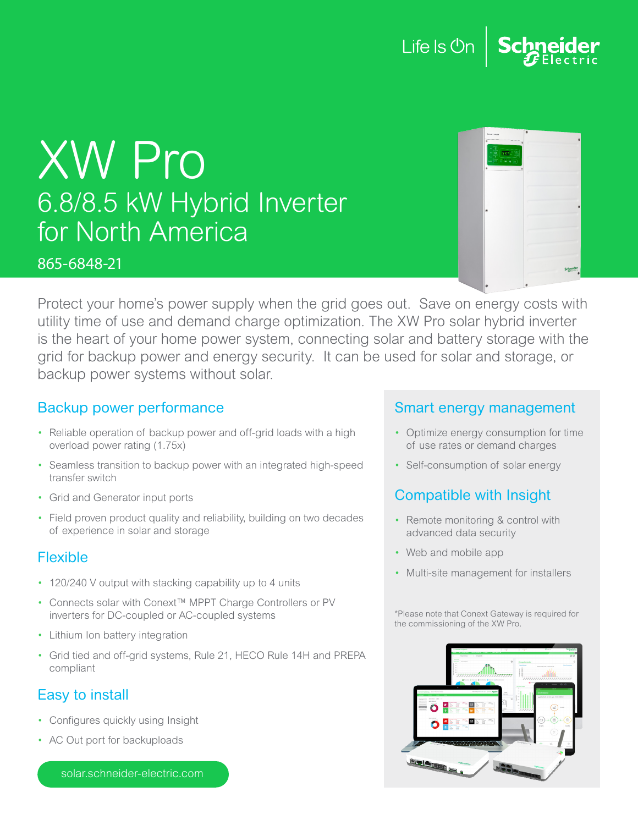



#### 865-6848-21

| Corest-toward                                                                       | $\ddot{\text{o}}$ |
|-------------------------------------------------------------------------------------|-------------------|
| $\overline{\mathbf{6}}$<br>¢<br>Ŧ<br>×.<br>♦<br>59717<br>٠<br>×<br>5.9.9<br>ਰ<br>×. |                   |
| ¢<br>$\epsilon$                                                                     |                   |
|                                                                                     |                   |
| G                                                                                   |                   |
|                                                                                     |                   |
|                                                                                     |                   |
|                                                                                     |                   |
|                                                                                     | Schneider         |

Protect your home's power supply when the grid goes out. Save on energy costs with utility time of use and demand charge optimization. The XW Pro solar hybrid inverter is the heart of your home power system, connecting solar and battery storage with the grid for backup power and energy security. It can be used for solar and storage, or backup power systems without solar.

## Backup power performance

- Reliable operation of backup power and off-grid loads with a high overload power rating (1.75x)
- Seamless transition to backup power with an integrated high-speed transfer switch
- Grid and Generator input ports
- Field proven product quality and reliability, building on two decades of experience in solar and storage

# Flexible

- 120/240 V output with stacking capability up to 4 units
- Connects solar with Conext™ MPPT Charge Controllers or PV inverters for DC-coupled or AC-coupled systems
- Lithium Ion battery integration
- Grid tied and off-grid systems, Rule 21, HECO Rule 14H and PREPA compliant

# Easy to install

- Configures quickly using Insight
- AC Out port for backuploads

solar.schneider-electric.com

### Smart energy management

- Optimize energy consumption for time of use rates or demand charges
- Self-consumption of solar energy

# Compatible with Insight

- Remote monitoring & control with advanced data security
- Web and mobile app
- Multi-site management for installers

\*Please note that Conext Gateway is required for the commissioning of the XW Pro.